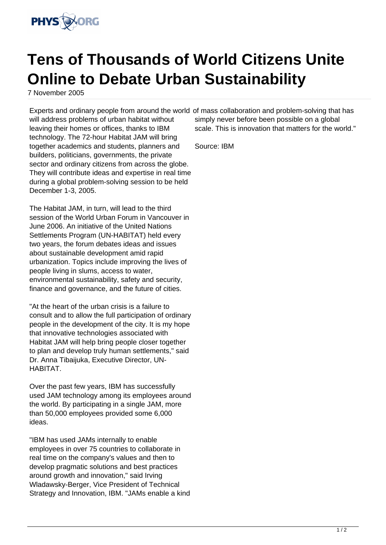

## **Tens of Thousands of World Citizens Unite Online to Debate Urban Sustainability**

7 November 2005

Experts and ordinary people from around the world of mass collaboration and problem-solving that has will address problems of urban habitat without leaving their homes or offices, thanks to IBM technology. The 72-hour Habitat JAM will bring together academics and students, planners and builders, politicians, governments, the private sector and ordinary citizens from across the globe. They will contribute ideas and expertise in real time during a global problem-solving session to be held December 1-3, 2005.

The Habitat JAM, in turn, will lead to the third session of the World Urban Forum in Vancouver in June 2006. An initiative of the United Nations Settlements Program (UN-HABITAT) held every two years, the forum debates ideas and issues about sustainable development amid rapid urbanization. Topics include improving the lives of people living in slums, access to water, environmental sustainability, safety and security, finance and governance, and the future of cities.

"At the heart of the urban crisis is a failure to consult and to allow the full participation of ordinary people in the development of the city. It is my hope that innovative technologies associated with Habitat JAM will help bring people closer together to plan and develop truly human settlements," said Dr. Anna Tibaijuka, Executive Director, UN-HABITAT.

Over the past few years, IBM has successfully used JAM technology among its employees around the world. By participating in a single JAM, more than 50,000 employees provided some 6,000 ideas.

"IBM has used JAMs internally to enable employees in over 75 countries to collaborate in real time on the company's values and then to develop pragmatic solutions and best practices around growth and innovation," said Irving Wladawsky-Berger, Vice President of Technical Strategy and Innovation, IBM. "JAMs enable a kind

simply never before been possible on a global scale. This is innovation that matters for the world."

Source: IBM